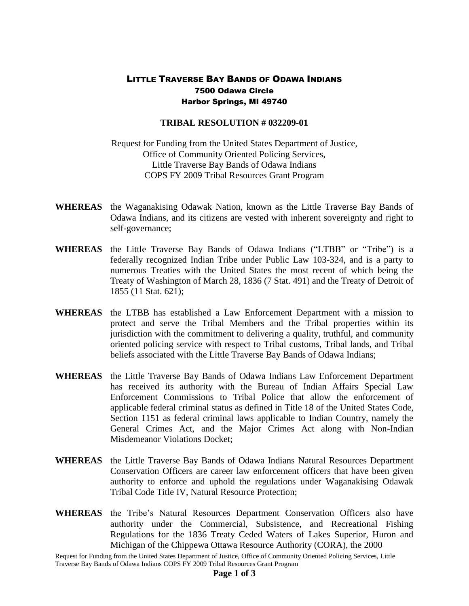## LITTLE TRAVERSE BAY BANDS OF ODAWA INDIANS 7500 Odawa Circle Harbor Springs, MI 49740

## **TRIBAL RESOLUTION # 032209-01**

Request for Funding from the United States Department of Justice, Office of Community Oriented Policing Services, Little Traverse Bay Bands of Odawa Indians COPS FY 2009 Tribal Resources Grant Program

- **WHEREAS** the Waganakising Odawak Nation, known as the Little Traverse Bay Bands of Odawa Indians, and its citizens are vested with inherent sovereignty and right to self-governance;
- **WHEREAS** the Little Traverse Bay Bands of Odawa Indians ("LTBB" or "Tribe") is a federally recognized Indian Tribe under Public Law 103-324, and is a party to numerous Treaties with the United States the most recent of which being the Treaty of Washington of March 28, 1836 (7 Stat. 491) and the Treaty of Detroit of 1855 (11 Stat. 621);
- **WHEREAS** the LTBB has established a Law Enforcement Department with a mission to protect and serve the Tribal Members and the Tribal properties within its jurisdiction with the commitment to delivering a quality, truthful, and community oriented policing service with respect to Tribal customs, Tribal lands, and Tribal beliefs associated with the Little Traverse Bay Bands of Odawa Indians;
- **WHEREAS** the Little Traverse Bay Bands of Odawa Indians Law Enforcement Department has received its authority with the Bureau of Indian Affairs Special Law Enforcement Commissions to Tribal Police that allow the enforcement of applicable federal criminal status as defined in Title 18 of the United States Code, Section 1151 as federal criminal laws applicable to Indian Country, namely the General Crimes Act, and the Major Crimes Act along with Non-Indian Misdemeanor Violations Docket;
- **WHEREAS** the Little Traverse Bay Bands of Odawa Indians Natural Resources Department Conservation Officers are career law enforcement officers that have been given authority to enforce and uphold the regulations under Waganakising Odawak Tribal Code Title IV, Natural Resource Protection;
- **WHEREAS** the Tribe's Natural Resources Department Conservation Officers also have authority under the Commercial, Subsistence, and Recreational Fishing Regulations for the 1836 Treaty Ceded Waters of Lakes Superior, Huron and Michigan of the Chippewa Ottawa Resource Authority (CORA), the 2000

Request for Funding from the United States Department of Justice, Office of Community Oriented Policing Services, Little Traverse Bay Bands of Odawa Indians COPS FY 2009 Tribal Resources Grant Program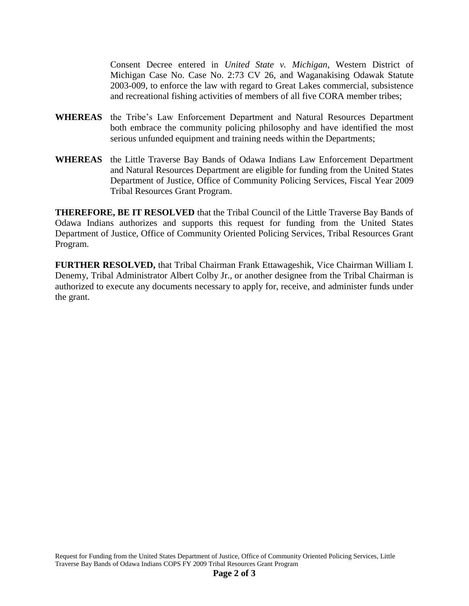Consent Decree entered in *United State v. Michigan,* Western District of Michigan Case No. Case No. 2:73 CV 26, and Waganakising Odawak Statute 2003-009, to enforce the law with regard to Great Lakes commercial, subsistence and recreational fishing activities of members of all five CORA member tribes;

- **WHEREAS** the Tribe's Law Enforcement Department and Natural Resources Department both embrace the community policing philosophy and have identified the most serious unfunded equipment and training needs within the Departments;
- **WHEREAS** the Little Traverse Bay Bands of Odawa Indians Law Enforcement Department and Natural Resources Department are eligible for funding from the United States Department of Justice, Office of Community Policing Services, Fiscal Year 2009 Tribal Resources Grant Program.

**THEREFORE, BE IT RESOLVED** that the Tribal Council of the Little Traverse Bay Bands of Odawa Indians authorizes and supports this request for funding from the United States Department of Justice, Office of Community Oriented Policing Services, Tribal Resources Grant Program.

**FURTHER RESOLVED,** that Tribal Chairman Frank Ettawageshik, Vice Chairman William I. Denemy, Tribal Administrator Albert Colby Jr., or another designee from the Tribal Chairman is authorized to execute any documents necessary to apply for, receive, and administer funds under the grant.